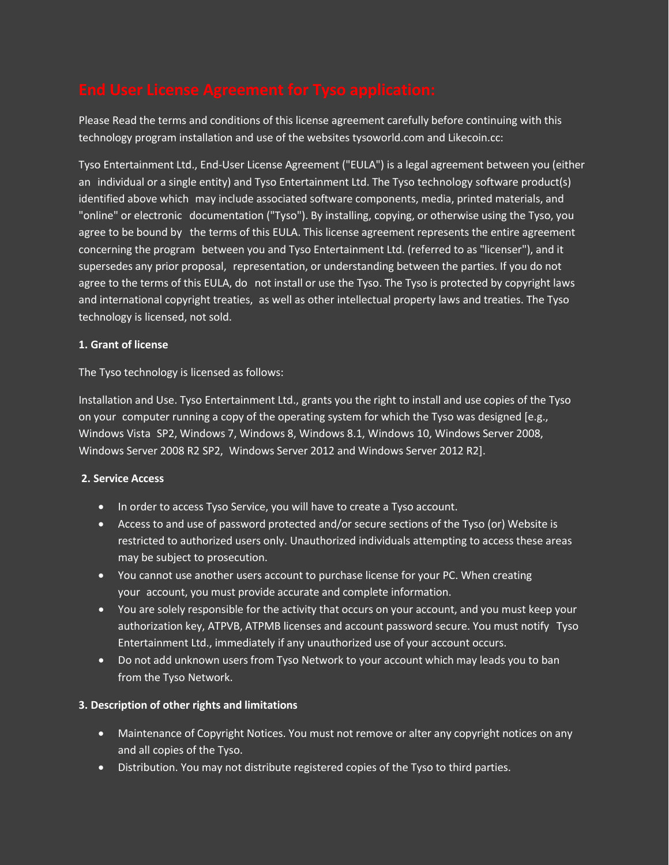Please Read the terms and conditions of this license agreement carefully before continuing with this technology program installation and use of the websites tysoworld.com and Likecoin.cc:

Tyso Entertainment Ltd., End-User License Agreement ("EULA") is a legal agreement between you (either an individual or a single entity) and Tyso Entertainment Ltd. The Tyso technology software product(s) identified above which may include associated software components, media, printed materials, and "online" or electronic documentation ("Tyso"). By installing, copying, or otherwise using the Tyso, you agree to be bound by the terms of this EULA. This license agreement represents the entire agreement concerning the program between you and Tyso Entertainment Ltd. (referred to as "licenser"), and it supersedes any prior proposal, representation, or understanding between the parties. If you do not agree to the terms of this EULA, do not install or use the Tyso. The Tyso is protected by copyright laws and international copyright treaties, as well as other intellectual property laws and treaties. The Tyso technology is licensed, not sold.

### **1. Grant of license**

The Tyso technology is licensed as follows:

Installation and Use. Tyso Entertainment Ltd., grants you the right to install and use copies of the Tyso on your computer running a copy of the operating system for which the Tyso was designed [e.g., Windows Vista SP2, Windows 7, Windows 8, Windows 8.1, Windows 10, Windows Server 2008, Windows Server 2008 R2 SP2, Windows Server 2012 and Windows Server 2012 R2].

# **2. Service Access**

- In order to access Tyso Service, you will have to create a Tyso account.
- Access to and use of password protected and/or secure sections of the Tyso (or) Website is restricted to authorized users only. Unauthorized individuals attempting to access these areas may be subject to prosecution.
- You cannot use another users account to purchase license for your PC. When creating your account, you must provide accurate and complete information.
- You are solely responsible for the activity that occurs on your account, and you must keep your authorization key, ATPVB, ATPMB licenses and account password secure. You must notify Tyso Entertainment Ltd., immediately if any unauthorized use of your account occurs.
- Do not add unknown users from Tyso Network to your account which may leads you to ban from the Tyso Network.

# **3. Description of other rights and limitations**

- Maintenance of Copyright Notices. You must not remove or alter any copyright notices on any and all copies of the Tyso.
- Distribution. You may not distribute registered copies of the Tyso to third parties.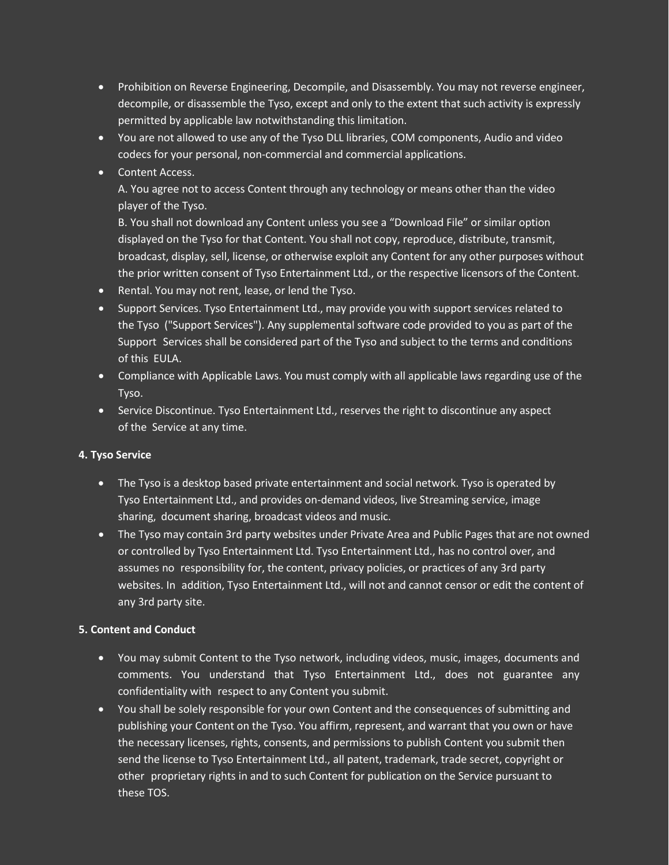- Prohibition on Reverse Engineering, Decompile, and Disassembly. You may not reverse engineer, decompile, or disassemble the Tyso, except and only to the extent that such activity is expressly permitted by applicable law notwithstanding this limitation.
- You are not allowed to use any of the Tyso DLL libraries, COM components, Audio and video codecs for your personal, non-commercial and commercial applications.
- Content Access.

A. You agree not to access Content through any technology or means other than the video player of the Tyso.

B. You shall not download any Content unless you see a "Download File" or similar option displayed on the Tyso for that Content. You shall not copy, reproduce, distribute, transmit, broadcast, display, sell, license, or otherwise exploit any Content for any other purposes without the prior written consent of Tyso Entertainment Ltd., or the respective licensors of the Content.

- Rental. You may not rent, lease, or lend the Tyso.
- Support Services. Tyso Entertainment Ltd., may provide you with support services related to the Tyso ("Support Services"). Any supplemental software code provided to you as part of the Support Services shall be considered part of the Tyso and subject to the terms and conditions of this EULA.
- Compliance with Applicable Laws. You must comply with all applicable laws regarding use of the Tyso.
- Service Discontinue. Tyso Entertainment Ltd., reserves the right to discontinue any aspect of the Service at any time.

# **4. Tyso Service**

- The Tyso is a desktop based private entertainment and social network. Tyso is operated by Tyso Entertainment Ltd., and provides on-demand videos, live Streaming service, image sharing, document sharing, broadcast videos and music.
- The Tyso may contain 3rd party websites under Private Area and Public Pages that are not owned or controlled by Tyso Entertainment Ltd. Tyso Entertainment Ltd., has no control over, and assumes no responsibility for, the content, privacy policies, or practices of any 3rd party websites. In addition, Tyso Entertainment Ltd., will not and cannot censor or edit the content of any 3rd party site.

# **5. Content and Conduct**

- You may submit Content to the Tyso network, including videos, music, images, documents and comments. You understand that Tyso Entertainment Ltd., does not guarantee any confidentiality with respect to any Content you submit.
- You shall be solely responsible for your own Content and the consequences of submitting and publishing your Content on the Tyso. You affirm, represent, and warrant that you own or have the necessary licenses, rights, consents, and permissions to publish Content you submit then send the license to Tyso Entertainment Ltd., all patent, trademark, trade secret, copyright or other proprietary rights in and to such Content for publication on the Service pursuant to these TOS.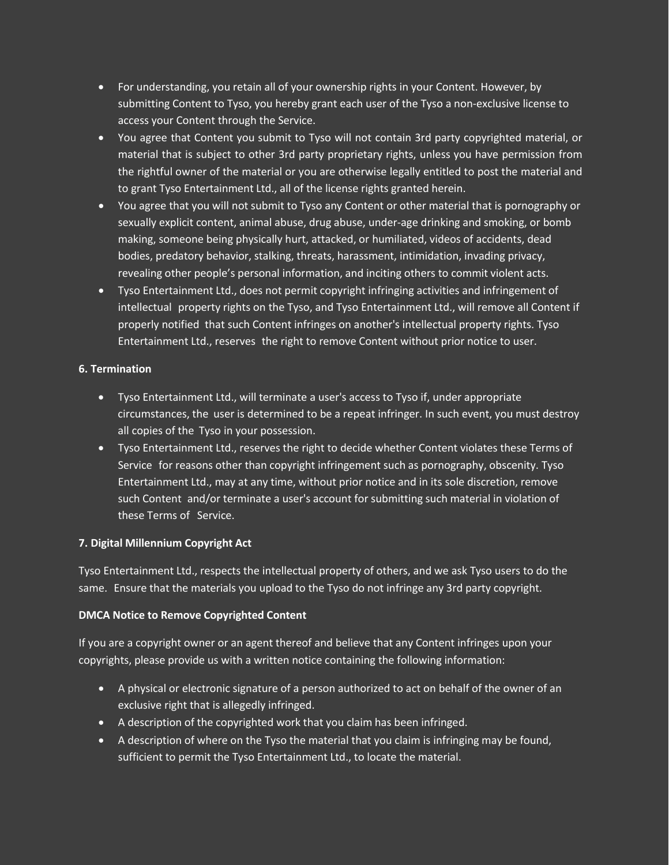- For understanding, you retain all of your ownership rights in your Content. However, by submitting Content to Tyso, you hereby grant each user of the Tyso a non-exclusive license to access your Content through the Service.
- You agree that Content you submit to Tyso will not contain 3rd party copyrighted material, or material that is subject to other 3rd party proprietary rights, unless you have permission from the rightful owner of the material or you are otherwise legally entitled to post the material and to grant Tyso Entertainment Ltd., all of the license rights granted herein.
- You agree that you will not submit to Tyso any Content or other material that is pornography or sexually explicit content, animal abuse, drug abuse, under-age drinking and smoking, or bomb making, someone being physically hurt, attacked, or humiliated, videos of accidents, dead bodies, predatory behavior, stalking, threats, harassment, intimidation, invading privacy, revealing other people's personal information, and inciting others to commit violent acts.
- Tyso Entertainment Ltd., does not permit copyright infringing activities and infringement of intellectual property rights on the Tyso, and Tyso Entertainment Ltd., will remove all Content if properly notified that such Content infringes on another's intellectual property rights. Tyso Entertainment Ltd., reserves the right to remove Content without prior notice to user.

### **6. Termination**

- Tyso Entertainment Ltd., will terminate a user's access to Tyso if, under appropriate circumstances, the user is determined to be a repeat infringer. In such event, you must destroy all copies of the Tyso in your possession.
- Tyso Entertainment Ltd., reserves the right to decide whether Content violates these Terms of Service for reasons other than copyright infringement such as pornography, obscenity. Tyso Entertainment Ltd., may at any time, without prior notice and in its sole discretion, remove such Content and/or terminate a user's account for submitting such material in violation of these Terms of Service.

# **7. Digital Millennium Copyright Act**

Tyso Entertainment Ltd., respects the intellectual property of others, and we ask Tyso users to do the same. Ensure that the materials you upload to the Tyso do not infringe any 3rd party copyright.

# **DMCA Notice to Remove Copyrighted Content**

If you are a copyright owner or an agent thereof and believe that any Content infringes upon your copyrights, please provide us with a written notice containing the following information:

- A physical or electronic signature of a person authorized to act on behalf of the owner of an exclusive right that is allegedly infringed.
- A description of the copyrighted work that you claim has been infringed.
- A description of where on the Tyso the material that you claim is infringing may be found, sufficient to permit the Tyso Entertainment Ltd., to locate the material.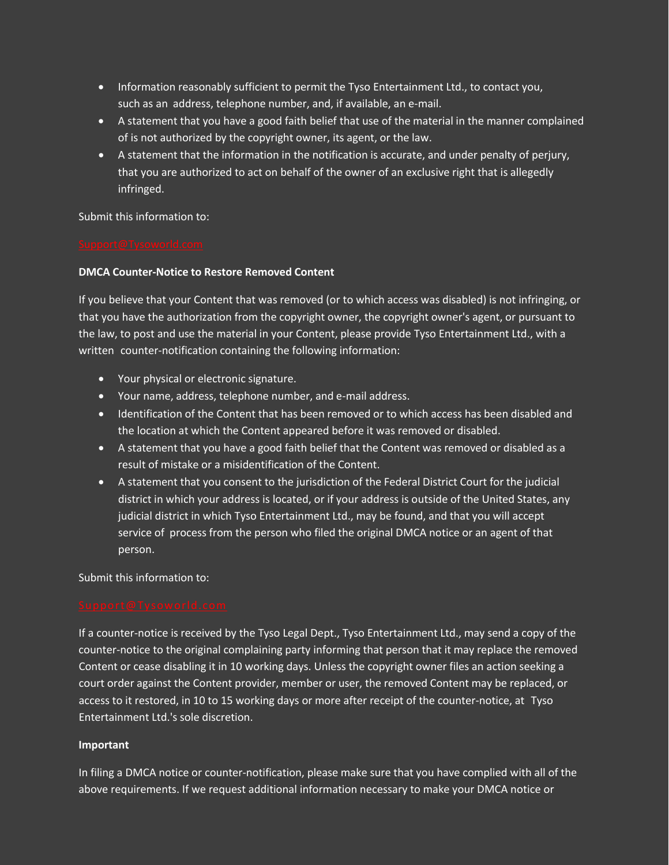- Information reasonably sufficient to permit the Tyso Entertainment Ltd., to contact you, such as an address, telephone number, and, if available, an e-mail.
- A statement that you have a good faith belief that use of the material in the manner complained of is not authorized by the copyright owner, its agent, or the law.
- A statement that the information in the notification is accurate, and under penalty of perjury, that you are authorized to act on behalf of the owner of an exclusive right that is allegedly infringed.

#### Submit this information to:

### **DMCA Counter-Notice to Restore Removed Content**

If you believe that your Content that was removed (or to which access was disabled) is not infringing, or that you have the authorization from the copyright owner, the copyright owner's agent, or pursuant to the law, to post and use the material in your Content, please provide Tyso Entertainment Ltd., with a written counter-notification containing the following information:

- Your physical or electronic signature.
- Your name, address, telephone number, and e-mail address.
- Identification of the Content that has been removed or to which access has been disabled and the location at which the Content appeared before it was removed or disabled.
- A statement that you have a good faith belief that the Content was removed or disabled as a result of mistake or a misidentification of the Content.
- A statement that you consent to the jurisdiction of the Federal District Court for the judicial district in which your address is located, or if your address is outside of the United States, any judicial district in which Tyso Entertainment Ltd., may be found, and that you will accept service of process from the person who filed the original DMCA notice or an agent of that person.

Submit this information to:

If a counter-notice is received by the Tyso Legal Dept., Tyso Entertainment Ltd., may send a copy of the counter-notice to the original complaining party informing that person that it may replace the removed Content or cease disabling it in 10 working days. Unless the copyright owner files an action seeking a court order against the Content provider, member or user, the removed Content may be replaced, or access to it restored, in 10 to 15 working days or more after receipt of the counter-notice, at Tyso Entertainment Ltd.'s sole discretion.

# **Important**

In filing a DMCA notice or counter-notification, please make sure that you have complied with all of the above requirements. If we request additional information necessary to make your DMCA notice or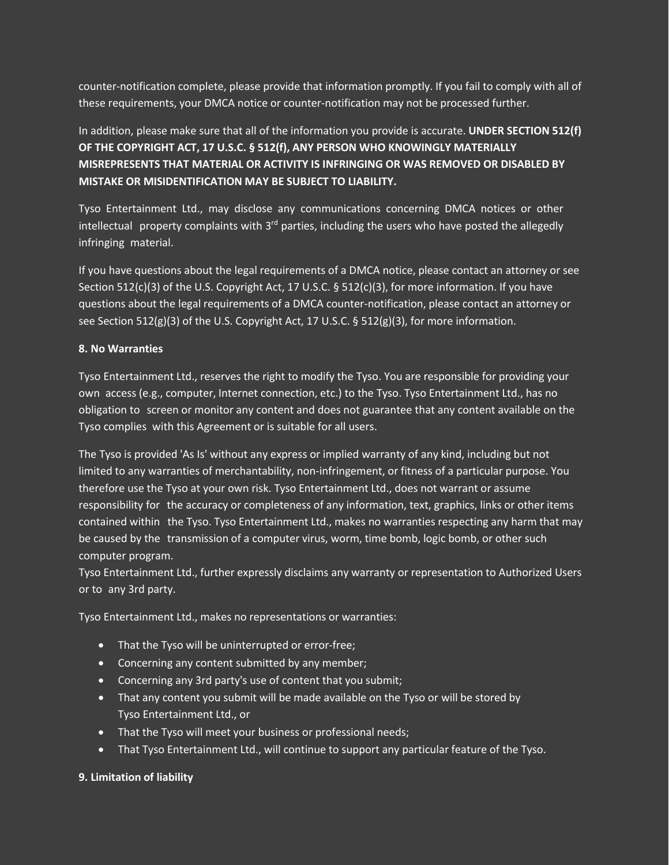counter-notification complete, please provide that information promptly. If you fail to comply with all of these requirements, your DMCA notice or counter-notification may not be processed further.

# In addition, please make sure that all of the information you provide is accurate. **UNDER SECTION 512(f) OF THE COPYRIGHT ACT, 17 U.S.C. § 512(f), ANY PERSON WHO KNOWINGLY MATERIALLY MISREPRESENTS THAT MATERIAL OR ACTIVITY IS INFRINGING OR WAS REMOVED OR DISABLED BY MISTAKE OR MISIDENTIFICATION MAY BE SUBJECT TO LIABILITY.**

Tyso Entertainment Ltd., may disclose any communications concerning DMCA notices or other intellectual property complaints with  $3<sup>rd</sup>$  parties, including the users who have posted the allegedly infringing material.

If you have questions about the legal requirements of a DMCA notice, please contact an attorney or see Section 512(c)(3) of the U.S. Copyright Act, 17 U.S.C. § 512(c)(3), for more information. If you have questions about the legal requirements of a DMCA counter-notification, please contact an attorney or see Section 512(g)(3) of the U.S. Copyright Act, 17 U.S.C. § 512(g)(3), for more information.

# **8. No Warranties**

Tyso Entertainment Ltd., reserves the right to modify the Tyso. You are responsible for providing your own access (e.g., computer, Internet connection, etc.) to the Tyso. Tyso Entertainment Ltd., has no obligation to screen or monitor any content and does not guarantee that any content available on the Tyso complies with this Agreement or is suitable for all users.

The Tyso is provided 'As Is' without any express or implied warranty of any kind, including but not limited to any warranties of merchantability, non-infringement, or fitness of a particular purpose. You therefore use the Tyso at your own risk. Tyso Entertainment Ltd., does not warrant or assume responsibility for the accuracy or completeness of any information, text, graphics, links or other items contained within the Tyso. Tyso Entertainment Ltd., makes no warranties respecting any harm that may be caused by the transmission of a computer virus, worm, time bomb, logic bomb, or other such computer program.

Tyso Entertainment Ltd., further expressly disclaims any warranty or representation to Authorized Users or to any 3rd party.

Tyso Entertainment Ltd., makes no representations or warranties:

- That the Tyso will be uninterrupted or error-free;
- Concerning any content submitted by any member;
- Concerning any 3rd party's use of content that you submit;
- That any content you submit will be made available on the Tyso or will be stored by Tyso Entertainment Ltd., or
- That the Tyso will meet your business or professional needs;
- That Tyso Entertainment Ltd., will continue to support any particular feature of the Tyso.

# **9. Limitation of liability**